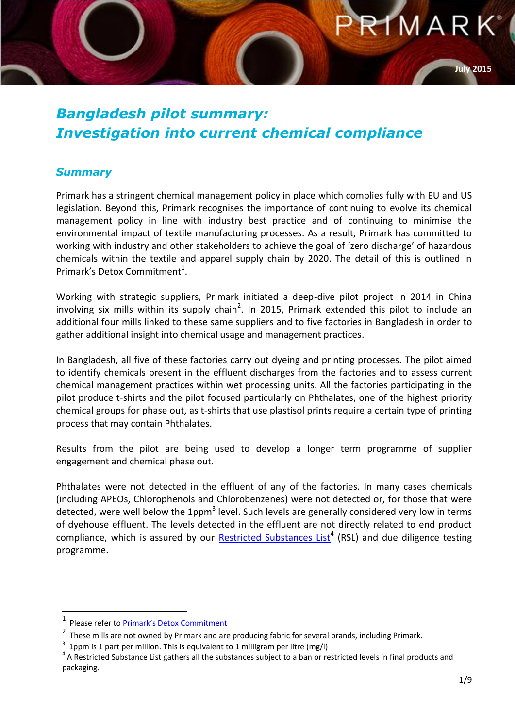

#### *Bangladesh pilot summary: Investigation into current chemical compliance*

#### *Summary*

Primark has a stringent chemical management policy in place which complies fully with EU and US legislation. Beyond this, Primark recognises the importance of continuing to evolve its chemical management policy in line with industry best practice and of continuing to minimise the environmental impact of textile manufacturing processes. As a result, Primark has committed to working with industry and other stakeholders to achieve the goal of 'zero discharge' of hazardous chemicals within the textile and apparel supply chain by 2020. The detail of this is outlined in Primark's Detox Commitment<sup>1</sup>.

Working with strategic suppliers, Primark initiated a deep-dive pilot project in 2014 in China involving six mills within its supply chain<sup>2</sup>. In 2015, Primark extended this pilot to include an additional four mills linked to these same suppliers and to five factories in Bangladesh in order to gather additional insight into chemical usage and management practices.

In Bangladesh, all five of these factories carry out dyeing and printing processes. The pilot aimed to identify chemicals present in the effluent discharges from the factories and to assess current chemical management practices within wet processing units. All the factories participating in the pilot produce t-shirts and the pilot focused particularly on Phthalates, one of the highest priority chemical groups for phase out, as t-shirts that use plastisol prints require a certain type of printing process that may contain Phthalates.

Results from the pilot are being used to develop a longer term programme of supplier engagement and chemical phase out.

Phthalates were not detected in the effluent of any of the factories. In many cases chemicals (including APEOs, Chlorophenols and Chlorobenzenes) were not detected or, for those that were detected, were well below the 1ppm<sup>3</sup> level. Such levels are generally considered very low in terms of dyehouse effluent. The levels detected in the effluent are not directly related to end product compliance, which is assured by our **Restricted Substances List<sup>4</sup> (RSL)** and due diligence testing programme.

1

**July 2015**

<sup>1</sup> Please refer to [Primark's Detox](http://www.primark.com/en/our-ethics/environment/~/media/ourethics/detox/pdfs/PRIMARK%20Detox%20Commitment.ashx?la=en) Commitment

<sup>&</sup>lt;sup>2</sup> These mills are not owned by Primark and are producing fabric for several brands, including Primark.

 $3$  1ppm is 1 part per million. This is equivalent to 1 milligram per litre (mg/l)

 $4$  A Restricted Substance List gathers all the substances subject to a ban or restricted levels in final products and packaging.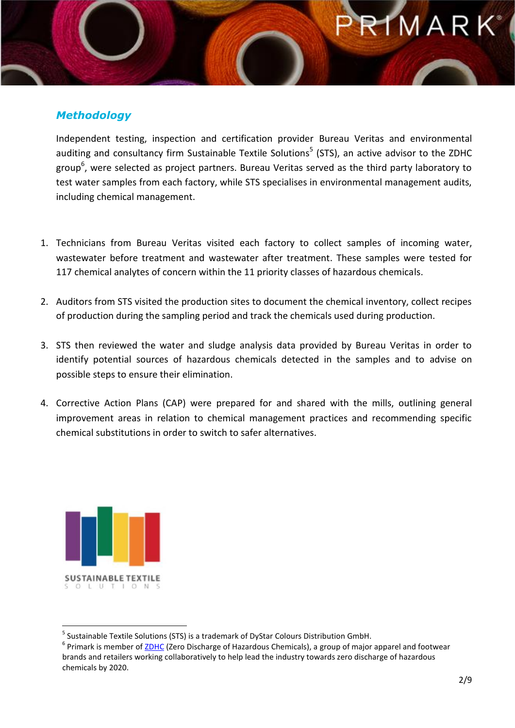### MARK

#### *Methodology*

Independent testing, inspection and certification provider [Bureau Veritas](http://www.bureauveritas.com/wps/wcm/connect/bv_com/group) and environmental auditing and consultancy firm [Sustainable Textile Solutions](http://www.dystar.com/Sustainable-Textile-Solutions.cfm)<sup>5</sup> (STS), an active advisor to the ZDHC group<sup>6</sup>, were selected as project partners. Bureau Veritas served as the third party laboratory to test water samples from each factory, while STS specialises in environmental management audits, including chemical management.

- 1. Technicians from Bureau Veritas visited each factory to collect samples of incoming water, wastewater before treatment and wastewater after treatment. These samples were tested for 117 chemical analytes of concern within the 11 priority classes of hazardous chemicals.
- 2. Auditors from STS visited the production sites to document the chemical inventory, collect recipes of production during the sampling period and track the chemicals used during production.
- 3. STS then reviewed the water and sludge analysis data provided by Bureau Veritas in order to identify potential sources of hazardous chemicals detected in the samples and to advise on possible steps to ensure their elimination.
- 4. Corrective Action Plans (CAP) were prepared for and shared with the mills, outlining general improvement areas in relation to chemical management practices and recommending specific chemical substitutions in order to switch to safer alternatives.



**.** 

<sup>&</sup>lt;sup>5</sup> Sustainable Textile Solutions (STS) is a trademark of DyStar Colours Distribution GmbH.

<sup>&</sup>lt;sup>6</sup> Primark is member o[f ZDHC](http://www.roadmaptozero.com/index.php?id=1) (Zero Discharge of Hazardous Chemicals), a group of major apparel and footwear brands and retailers working collaboratively to help lead the industry towards zero discharge of hazardous chemicals by 2020.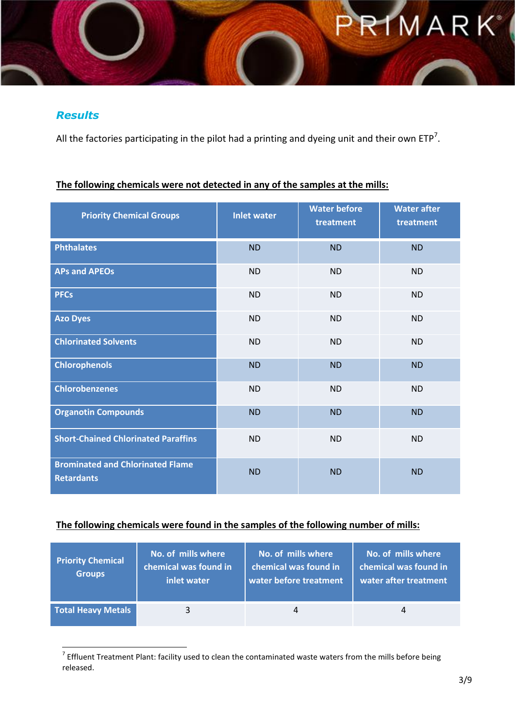# **RIMARK**

#### *Results*

All the factories participating in the pilot had a printing and dyeing unit and their own ETP<sup>7</sup>.

#### **The following chemicals were not detected in any of the samples at the mills:**

| <b>Priority Chemical Groups</b>                              | <b>Inlet water</b> | <b>Water before</b><br>treatment | <b>Water after</b><br>treatment |
|--------------------------------------------------------------|--------------------|----------------------------------|---------------------------------|
| <b>Phthalates</b>                                            | <b>ND</b>          | <b>ND</b>                        | <b>ND</b>                       |
| <b>APs and APEOs</b>                                         | <b>ND</b>          | <b>ND</b>                        | <b>ND</b>                       |
| <b>PFCs</b>                                                  | <b>ND</b>          | <b>ND</b>                        | <b>ND</b>                       |
| <b>Azo Dyes</b>                                              | <b>ND</b>          | <b>ND</b>                        | <b>ND</b>                       |
| <b>Chlorinated Solvents</b>                                  | <b>ND</b>          | <b>ND</b>                        | <b>ND</b>                       |
| <b>Chlorophenols</b>                                         | <b>ND</b>          | <b>ND</b>                        | <b>ND</b>                       |
| <b>Chlorobenzenes</b>                                        | <b>ND</b>          | <b>ND</b>                        | <b>ND</b>                       |
| <b>Organotin Compounds</b>                                   | <b>ND</b>          | <b>ND</b>                        | <b>ND</b>                       |
| <b>Short-Chained Chlorinated Paraffins</b>                   | <b>ND</b>          | <b>ND</b>                        | <b>ND</b>                       |
| <b>Brominated and Chlorinated Flame</b><br><b>Retardants</b> | <b>ND</b>          | <b>ND</b>                        | <b>ND</b>                       |

#### **The following chemicals were found in the samples of the following number of mills:**

| <b>Priority Chemical</b><br><b>Groups</b> | No. of mills where<br>chemical was found in<br>inlet water | No. of mills where<br>chemical was found in<br>water before treatment | No. of mills where<br>chemical was found in<br>water after treatment |
|-------------------------------------------|------------------------------------------------------------|-----------------------------------------------------------------------|----------------------------------------------------------------------|
| <b>Total Heavy Metals</b>                 | $\mathbf{R}$                                               | 4                                                                     | 4                                                                    |

 7 Effluent Treatment Plant: facility used to clean the contaminated waste waters from the mills before being released.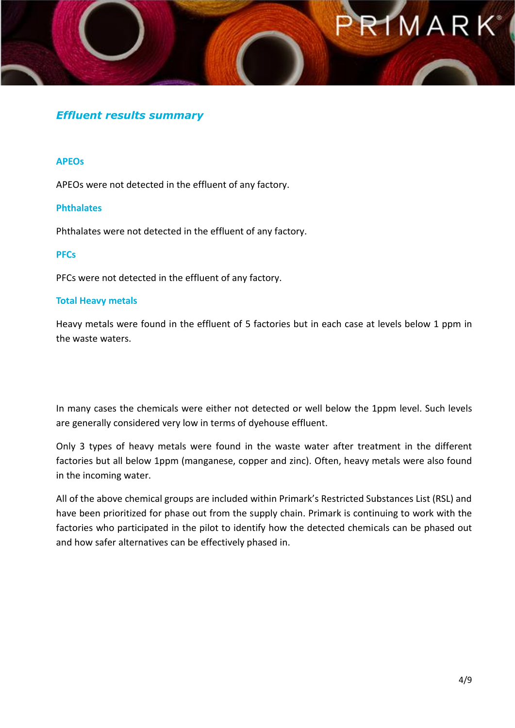## $\frac{1}{2}MRK^*$

#### *Effluent results summary*

#### **APEOs**

APEOs were not detected in the effluent of any factory.

#### **Phthalates**

Phthalates were not detected in the effluent of any factory.

#### **PFCs**

PFCs were not detected in the effluent of any factory.

#### **Total Heavy metals**

Heavy metals were found in the effluent of 5 factories but in each case at levels below 1 ppm in the waste waters.

In many cases the chemicals were either not detected or well below the 1ppm level. Such levels are generally considered very low in terms of dyehouse effluent.

Only 3 types of heavy metals were found in the waste water after treatment in the different factories but all below 1ppm (manganese, copper and zinc). Often, heavy metals were also found in the incoming water.

All of the above chemical groups are included within Primark's Restricted Substances List (RSL) and have been prioritized for phase out from the supply chain. Primark is continuing to work with the factories who participated in the pilot to identify how the detected chemicals can be phased out and how safer alternatives can be effectively phased in.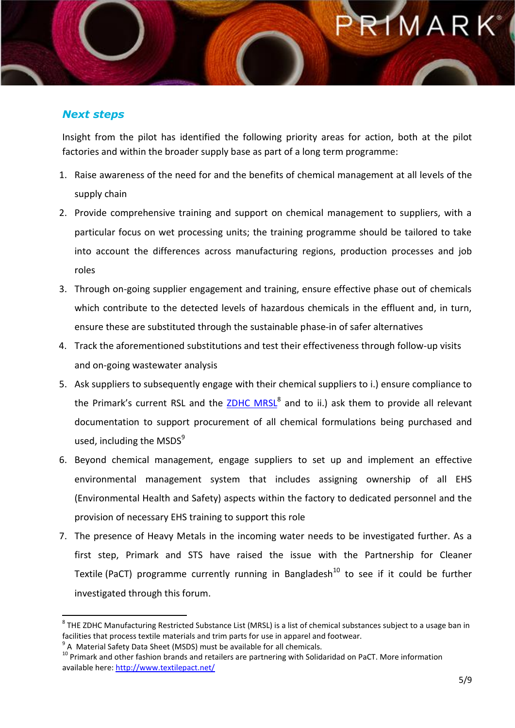### 1 M A R K°

#### *Next steps*

 $\overline{a}$ 

Insight from the pilot has identified the following priority areas for action, both at the pilot factories and within the broader supply base as part of a long term programme:

- 1. Raise awareness of the need for and the benefits of chemical management at all levels of the supply chain
- 2. Provide comprehensive training and support on chemical management to suppliers, with a particular focus on wet processing units; the training programme should be tailored to take into account the differences across manufacturing regions, production processes and job roles
- 3. Through on-going supplier engagement and training, ensure effective phase out of chemicals which contribute to the detected levels of hazardous chemicals in the effluent and, in turn, ensure these are substituted through the sustainable phase-in of safer alternatives
- 4. Track the aforementioned substitutions and test their effectiveness through follow-up visits and on-going wastewater analysis
- 5. Ask suppliers to subsequently engage with their chemical suppliers to i.) ensure compliance to the Primark's current RSL and the **ZDHC MRSL<sup>8</sup> and to ii.) ask them to provide all relevant** documentation to support procurement of all chemical formulations being purchased and used, including the  $MSDS<sup>9</sup>$
- 6. Beyond chemical management, engage suppliers to set up and implement an effective environmental management system that includes assigning ownership of all EHS (Environmental Health and Safety) aspects within the factory to dedicated personnel and the provision of necessary EHS training to support this role
- 7. The presence of Heavy Metals in the incoming water needs to be investigated further. As a first step, Primark and STS have raised the issue with the Partnership for Cleaner Textile (PaCT) programme currently running in Bangladesh<sup>10</sup> to see if it could be further investigated through this forum.

 $^8$  THE ZDHC Manufacturing Restricted Substance List (MRSL) is a list of chemical substances subject to a usage ban in facilities that process textile materials and trim parts for use in apparel and footwear.

<sup>&</sup>lt;sup>9</sup> A Material Safety Data Sheet (MSDS) must be available for all chemicals.

<sup>&</sup>lt;sup>10</sup> Primark and other fashion brands and retailers are partnering with Solidaridad on PaCT. More information available here:<http://www.textilepact.net/>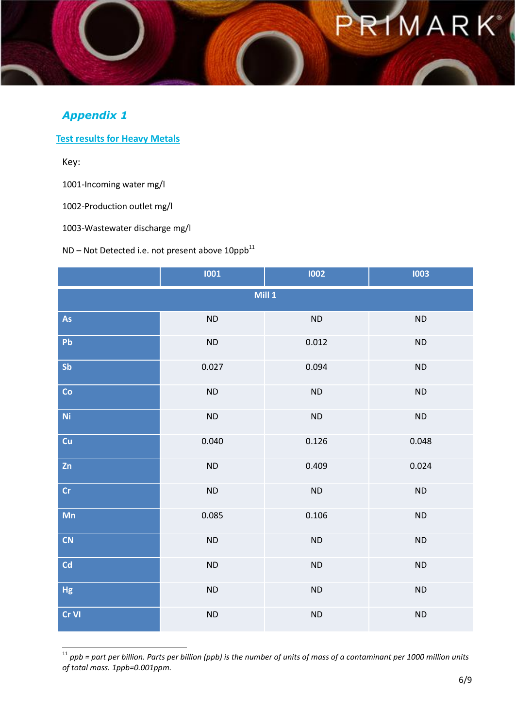### RIMARK<sup>®</sup>

#### *Appendix 1*

**Test results for Heavy Metals**

Key:

1

1001-Incoming water mg/l

1002-Production outlet mg/l

1003-Wastewater discharge mg/l

 $ND - Not$  Detected i.e. not present above  $10$ ppb $^{11}$ 

|               | 1001      | 1002       | 1003      |  |
|---------------|-----------|------------|-----------|--|
| Mill 1        |           |            |           |  |
| As            | $\sf ND$  | ND         | $\sf ND$  |  |
| Pb            | <b>ND</b> | 0.012      | ND        |  |
| Sb            | 0.027     | 0.094      | $\sf ND$  |  |
| Co            | <b>ND</b> | <b>ND</b>  | $\sf ND$  |  |
| Ni            | ND        | ${\sf ND}$ | ND        |  |
| Cu            | 0.040     | 0.126      | 0.048     |  |
| Zn            | <b>ND</b> | 0.409      | 0.024     |  |
| $\mathsf{Cr}$ | ND        | ND         | ND        |  |
| Mn            | 0.085     | 0.106      | $\sf ND$  |  |
| <b>CN</b>     | <b>ND</b> | $\sf ND$   | ND        |  |
| Cd            | ND        | <b>ND</b>  | ND        |  |
| Hg            | <b>ND</b> | <b>ND</b>  | <b>ND</b> |  |
| Cr VI         | <b>ND</b> | <b>ND</b>  | <b>ND</b> |  |

 $11$  ppb = part per billion. Parts per billion (ppb) is the number of units of mass of a contaminant per 1000 million units *of total mass. 1ppb=0.001ppm.*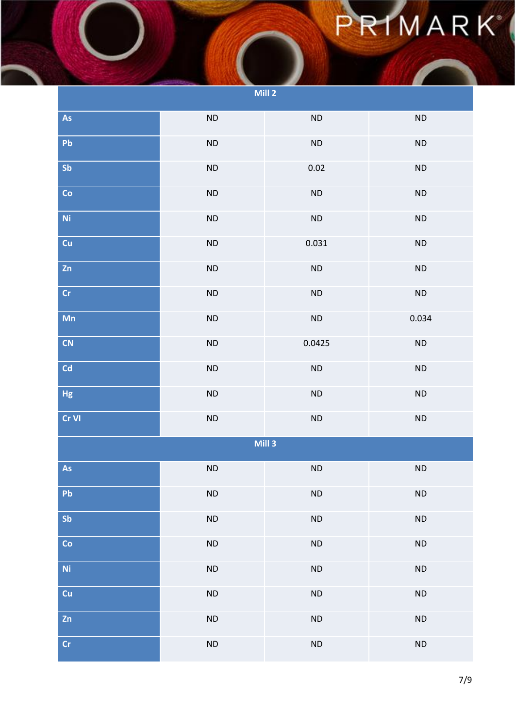## PRIMARK

| Mill 2                    |           |           |           |  |
|---------------------------|-----------|-----------|-----------|--|
| As                        | ND        | <b>ND</b> | ND        |  |
| Pb                        | $\sf ND$  | $\sf ND$  | ND        |  |
| Sb                        | $\sf ND$  | 0.02      | $\sf ND$  |  |
| Co                        | $\sf ND$  | $\sf ND$  | $\sf ND$  |  |
| $\mathbf{N}\mathbf{i}$    | $\sf ND$  | $\sf ND$  | $\sf ND$  |  |
| Cu                        | $\sf ND$  | 0.031     | $\sf ND$  |  |
| Zn                        | $\sf ND$  | $\sf ND$  | $\sf ND$  |  |
| Cr                        | $\sf ND$  | <b>ND</b> | $\sf ND$  |  |
| Mn                        | $\sf ND$  | $\sf ND$  | 0.034     |  |
| <b>CN</b>                 | $\sf ND$  | 0.0425    | $\sf ND$  |  |
| Cd                        | <b>ND</b> | $\sf ND$  | ND        |  |
| Hg                        | $\sf ND$  | $\sf ND$  | ND        |  |
| Cr VI                     | $\sf ND$  | <b>ND</b> | $\sf ND$  |  |
| Mill 3                    |           |           |           |  |
| As                        | ND        | <b>ND</b> | <b>ND</b> |  |
| Pb                        | <b>ND</b> | ND        | $\sf ND$  |  |
| Sb                        | <b>ND</b> | $\sf ND$  | $\sf ND$  |  |
| Co                        | $\sf ND$  | $\sf ND$  | $\sf ND$  |  |
| $\overline{\mathsf{N}}$ i | $\sf ND$  | ND        | $\sf ND$  |  |
| cu                        | $\sf ND$  | $\sf ND$  | $\sf ND$  |  |
| Zn                        | $\sf ND$  | ND        | ND        |  |
| $\mathsf{Cr}$             | <b>ND</b> | <b>ND</b> | $\sf ND$  |  |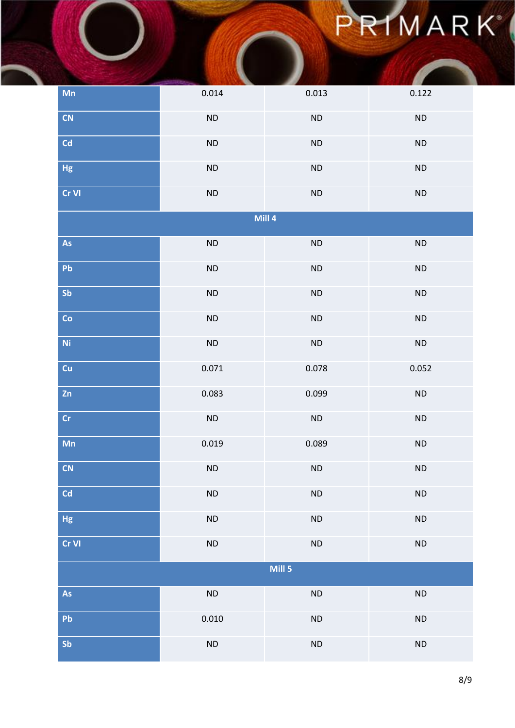## PRIMARK

| Mn             | 0.014     | 0.013     | 0.122     |
|----------------|-----------|-----------|-----------|
| <b>CN</b>      | $\sf ND$  | $\sf ND$  | $\sf ND$  |
| Cd             | $\sf ND$  | $\sf ND$  | $\sf ND$  |
| Hg             | $\sf ND$  | $\sf ND$  | $\sf ND$  |
| Cr VI          | $\sf ND$  | $\sf ND$  | $\sf ND$  |
|                |           | Mill 4    |           |
| As             | $\sf ND$  | $\sf ND$  | $\sf ND$  |
| Pb             | $\sf ND$  | $\sf ND$  | $\sf ND$  |
| Sb             | $\sf ND$  | $\sf ND$  | $\sf ND$  |
| Co             | $\sf ND$  | $\sf ND$  | $\sf ND$  |
| N <sub>i</sub> | ND        | $\sf ND$  | $\sf ND$  |
| cu             | 0.071     | 0.078     | 0.052     |
| Zn             | 0.083     | 0.099     | $\sf ND$  |
| $\mathsf{Cr}$  | $\sf ND$  | $\sf ND$  | ND        |
| Mn             | 0.019     | 0.089     | ND        |
| CN             | <b>ND</b> | <b>ND</b> | <b>ND</b> |
| Cd             | $\sf ND$  | $\sf ND$  | ND        |
| Hg             | $\sf ND$  | ND        | $\sf ND$  |
| Cr VI          | $\sf ND$  | ND        | ND        |
| Mill 5         |           |           |           |
| As             | $\sf ND$  | $\sf ND$  | $\sf ND$  |
| Pb             | 0.010     | $\sf ND$  | ND        |
| Sb             | $\sf ND$  | $\sf ND$  | $\sf ND$  |